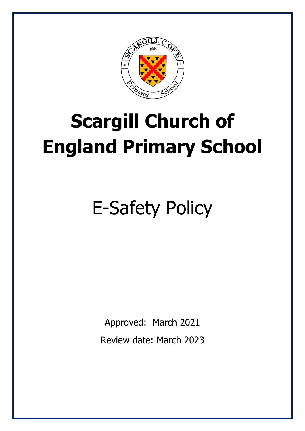

# **Scargill Church of England Primary School**

# E-Safety Policy

Approved: March 2021 Review date: March 2023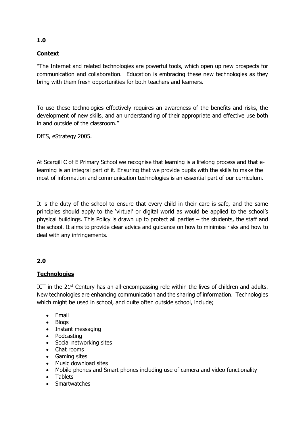# **Context**

"The Internet and related technologies are powerful tools, which open up new prospects for communication and collaboration. Education is embracing these new technologies as they bring with them fresh opportunities for both teachers and learners.

To use these technologies effectively requires an awareness of the benefits and risks, the development of new skills, and an understanding of their appropriate and effective use both in and outside of the classroom."

DfES, eStrategy 2005.

At Scargill C of E Primary School we recognise that learning is a lifelong process and that elearning is an integral part of it. Ensuring that we provide pupils with the skills to make the most of information and communication technologies is an essential part of our curriculum.

It is the duty of the school to ensure that every child in their care is safe, and the same principles should apply to the 'virtual' or digital world as would be applied to the school's physical buildings. This Policy is drawn up to protect all parties – the students, the staff and the school. It aims to provide clear advice and guidance on how to minimise risks and how to deal with any infringements.

# **2.0**

# **Technologies**

ICT in the  $21<sup>st</sup>$  Century has an all-encompassing role within the lives of children and adults. New technologies are enhancing communication and the sharing of information. Technologies which might be used in school, and quite often outside school, include;

- Email
- Blogs
- Instant messaging
- Podcasting
- Social networking sites
- Chat rooms
- Gaming sites
- Music download sites
- Mobile phones and Smart phones including use of camera and video functionality
- Tablets
- **Smartwatches**

# **1.0**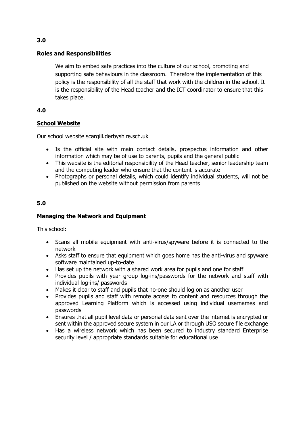#### **Roles and Responsibilities**

We aim to embed safe practices into the culture of our school, promoting and supporting safe behaviours in the classroom. Therefore the implementation of this policy is the responsibility of all the staff that work with the children in the school. It is the responsibility of the Head teacher and the ICT coordinator to ensure that this takes place.

## **4.0**

## **School Website**

Our school website scargill.derbyshire.sch.uk

- Is the official site with main contact details, prospectus information and other information which may be of use to parents, pupils and the general public
- This website is the editorial responsibility of the Head teacher, senior leadership team and the computing leader who ensure that the content is accurate
- Photographs or personal details, which could identify individual students, will not be published on the website without permission from parents

## **5.0**

#### **Managing the Network and Equipment**

This school:

- Scans all mobile equipment with anti-virus/spyware before it is connected to the network
- Asks staff to ensure that equipment which goes home has the anti-virus and spyware software maintained up-to-date
- Has set up the network with a shared work area for pupils and one for staff
- Provides pupils with year group log-ins/passwords for the network and staff with individual log-ins/ passwords
- Makes it clear to staff and pupils that no-one should log on as another user
- Provides pupils and staff with remote access to content and resources through the approved Learning Platform which is accessed using individual usernames and passwords
- Ensures that all pupil level data or personal data sent over the internet is encrypted or sent within the approved secure system in our LA or through USO secure file exchange
- Has a wireless network which has been secured to industry standard Enterprise security level / appropriate standards suitable for educational use

### **3.0**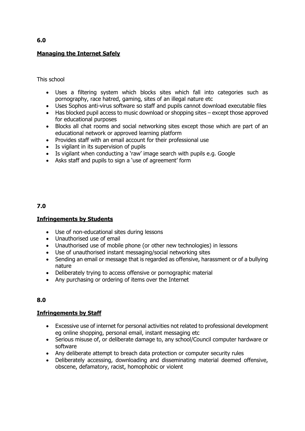# **Managing the Internet Safely**

This school

- Uses a filtering system which blocks sites which fall into categories such as pornography, race hatred, gaming, sites of an illegal nature etc
- Uses Sophos anti-virus software so staff and pupils cannot download executable files
- Has blocked pupil access to music download or shopping sites except those approved for educational purposes
- Blocks all chat rooms and social networking sites except those which are part of an educational network or approved learning platform
- Provides staff with an email account for their professional use
- Is vigilant in its supervision of pupils
- Is vigilant when conducting a 'raw' image search with pupils e.g. Google
- Asks staff and pupils to sign a 'use of agreement' form

#### **7.0**

#### **Infringements by Students**

- Use of non-educational sites during lessons
- Unauthorised use of email
- Unauthorised use of mobile phone (or other new technologies) in lessons
- Use of unauthorised instant messaging/social networking sites
- Sending an email or message that is regarded as offensive, harassment or of a bullying nature
- Deliberately trying to access offensive or pornographic material
- Any purchasing or ordering of items over the Internet

#### **8.0**

#### **Infringements by Staff**

- Excessive use of internet for personal activities not related to professional development eg online shopping, personal email, instant messaging etc
- Serious misuse of, or deliberate damage to, any school/Council computer hardware or software
- Any deliberate attempt to breach data protection or computer security rules
- Deliberately accessing, downloading and disseminating material deemed offensive, obscene, defamatory, racist, homophobic or violent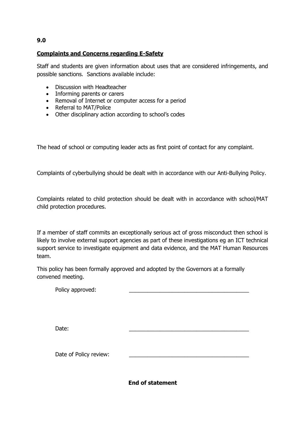#### **9.0**

#### **Complaints and Concerns regarding E-Safety**

Staff and students are given information about uses that are considered infringements, and possible sanctions. Sanctions available include:

- Discussion with Headteacher
- Informing parents or carers
- Removal of Internet or computer access for a period
- Referral to MAT/Police
- Other disciplinary action according to school's codes

The head of school or computing leader acts as first point of contact for any complaint.

Complaints of cyberbullying should be dealt with in accordance with our Anti-Bullying Policy.

Complaints related to child protection should be dealt with in accordance with school/MAT child protection procedures.

If a member of staff commits an exceptionally serious act of gross misconduct then school is likely to involve external support agencies as part of these investigations eg an ICT technical support service to investigate equipment and data evidence, and the MAT Human Resources team.

This policy has been formally approved and adopted by the Governors at a formally convened meeting.

| Policy approved: |  |
|------------------|--|
|                  |  |

Date: \_\_\_\_\_\_\_\_\_\_\_\_\_\_\_\_\_\_\_\_\_\_\_\_\_\_\_\_\_\_\_\_\_\_\_\_\_\_\_

Date of Policy review:

**End of statement**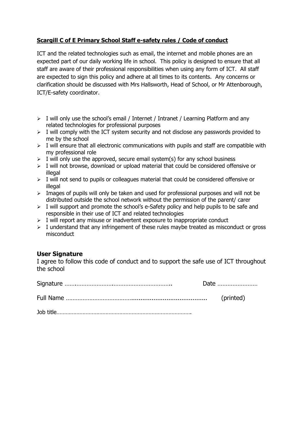# **Scargill C of E Primary School Staff e-safety rules / Code of conduct**

ICT and the related technologies such as email, the internet and mobile phones are an expected part of our daily working life in school. This policy is designed to ensure that all staff are aware of their professional responsibilities when using any form of ICT. All staff are expected to sign this policy and adhere at all times to its contents. Any concerns or clarification should be discussed with Mrs Hallsworth, Head of School, or Mr Attenborough, ICT/E-safety coordinator.

- $\triangleright$  I will only use the school's email / Internet / Intranet / Learning Platform and any related technologies for professional purposes
- $\triangleright$  I will comply with the ICT system security and not disclose any passwords provided to me by the school
- $\triangleright$  I will ensure that all electronic communications with pupils and staff are compatible with my professional role
- $\triangleright$  I will only use the approved, secure email system(s) for any school business
- ➢ I will not browse, download or upload material that could be considered offensive or illegal
- $\triangleright$  I will not send to pupils or colleagues material that could be considered offensive or illegal
- $\triangleright$  Images of pupils will only be taken and used for professional purposes and will not be distributed outside the school network without the permission of the parent/ carer
- $\triangleright$  I will support and promote the school's e-Safety policy and help pupils to be safe and responsible in their use of ICT and related technologies
- $\triangleright$  I will report any misuse or inadvertent exposure to inappropriate conduct
- ➢ I understand that any infringement of these rules maybe treated as misconduct or gross misconduct

#### **User Signature**

I agree to follow this code of conduct and to support the safe use of ICT throughout the school

|  |  | Date      |  |
|--|--|-----------|--|
|  |  | (printed) |  |
|  |  |           |  |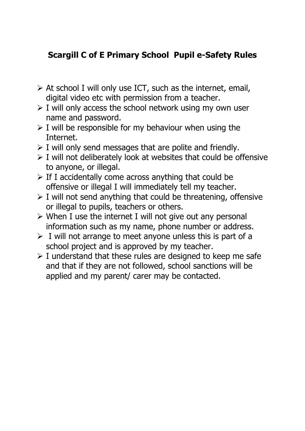# **Scargill C of E Primary School Pupil e-Safety Rules**

- $\triangleright$  At school I will only use ICT, such as the internet, email, digital video etc with permission from a teacher.
- $\triangleright$  I will only access the school network using my own user name and password.
- $\triangleright$  I will be responsible for my behaviour when using the Internet.
- $\triangleright$  I will only send messages that are polite and friendly.
- $\triangleright$  I will not deliberately look at websites that could be offensive to anyone, or illegal.
- $\triangleright$  If I accidentally come across anything that could be offensive or illegal I will immediately tell my teacher.
- $\triangleright$  I will not send anything that could be threatening, offensive or illegal to pupils, teachers or others.
- ➢ When I use the internet I will not give out any personal information such as my name, phone number or address.
- $\triangleright$  I will not arrange to meet anyone unless this is part of a school project and is approved by my teacher.
- $\triangleright$  I understand that these rules are designed to keep me safe and that if they are not followed, school sanctions will be applied and my parent/ carer may be contacted.